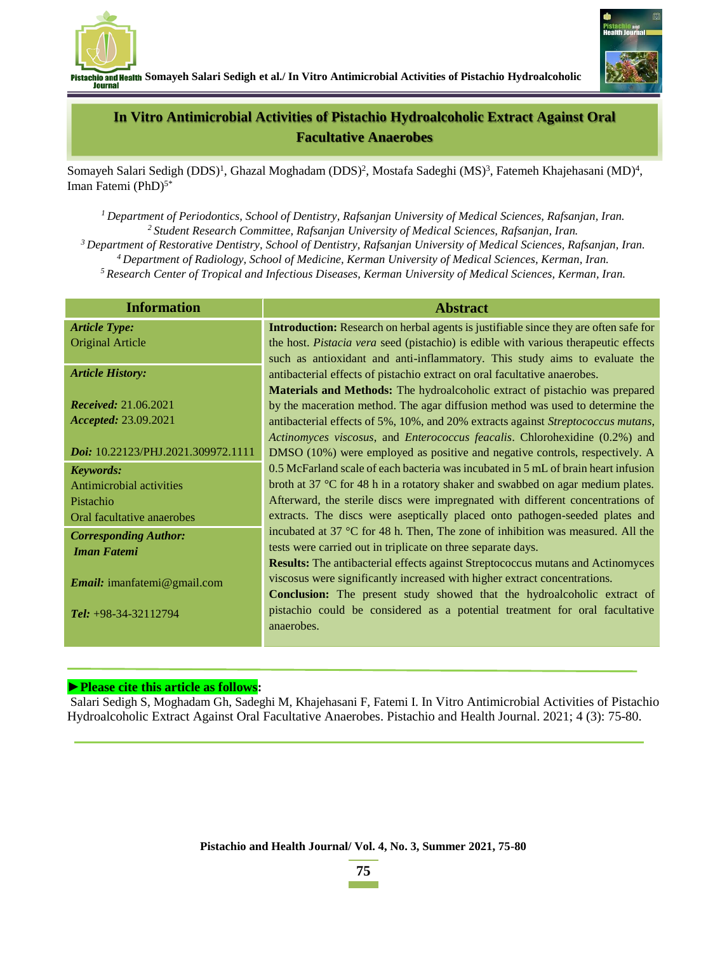

**Somayeh Salari Sedigh et al./ In Vitro Antimicrobial Activities of Pistachio Hydroalcoholic** Journal



## **In Vitro Antimicrobial Activities of Pistachio Hydroalcoholic Extract Against Oral Facultative Anaerobes**

Somayeh Salari Sedigh (DDS)<sup>1</sup>, Ghazal Moghadam (DDS)<sup>2</sup>, Mostafa Sadeghi (MS)<sup>3</sup>, Fatemeh Khajehasani (MD)<sup>4</sup>, Iman Fatemi (PhD) 5\*

 *Department of Periodontics, School of Dentistry, Rafsanjan University of Medical Sciences, Rafsanjan, Iran. Student Research Committee, Rafsanjan University of Medical Sciences, Rafsanjan, Iran. Department of Restorative Dentistry, School of Dentistry, Rafsanjan University of Medical Sciences, Rafsanjan, Iran. Department of Radiology, School of Medicine, Kerman University of Medical Sciences, Kerman, Iran. Research Center of Tropical and Infectious Diseases, Kerman University of Medical Sciences, Kerman, Iran.*

| <b>Information</b>                 | <b>Abstract</b>                                                                             |
|------------------------------------|---------------------------------------------------------------------------------------------|
| <b>Article Type:</b>               | <b>Introduction:</b> Research on herbal agents is justifiable since they are often safe for |
| <b>Original Article</b>            | the host. Pistacia vera seed (pistachio) is edible with various therapeutic effects         |
|                                    | such as antioxidant and anti-inflammatory. This study aims to evaluate the                  |
| <b>Article History:</b>            | antibacterial effects of pistachio extract on oral facultative anaerobes.                   |
|                                    | <b>Materials and Methods:</b> The hydroalcoholic extract of pistachio was prepared          |
| <b>Received:</b> 21.06.2021        | by the maceration method. The agar diffusion method was used to determine the               |
| <i>Accepted:</i> 23.09.2021        | antibacterial effects of 5%, 10%, and 20% extracts against Streptococcus mutans,            |
|                                    | Actinomyces viscosus, and Enterococcus feacalis. Chlorohexidine (0.2%) and                  |
| Doi: 10.22123/PHJ.2021.309972.1111 | DMSO (10%) were employed as positive and negative controls, respectively. A                 |
| Keywords:                          | 0.5 McFarland scale of each bacteria was incubated in 5 mL of brain heart infusion          |
| Antimicrobial activities           | broth at 37 $\degree$ C for 48 h in a rotatory shaker and swabbed on agar medium plates.    |
| Pistachio                          | Afterward, the sterile discs were impregnated with different concentrations of              |
| Oral facultative anaerobes         | extracts. The discs were aseptically placed onto pathogen-seeded plates and                 |
| <b>Corresponding Author:</b>       | incubated at 37 $\degree$ C for 48 h. Then, The zone of inhibition was measured. All the    |
| <b>Iman Fatemi</b>                 | tests were carried out in triplicate on three separate days.                                |
|                                    | <b>Results:</b> The antibacterial effects against Streptococcus mutans and Actinomyces      |
| Email: imanfatemi@gmail.com        | viscosus were significantly increased with higher extract concentrations.                   |
|                                    | Conclusion: The present study showed that the hydroalcoholic extract of                     |
| Tel: $+98-34-32112794$             | pistachio could be considered as a potential treatment for oral facultative                 |
|                                    | anaerobes.                                                                                  |
|                                    |                                                                                             |

#### **►Please cite this article as follows:**

Salari Sedigh S, Moghadam Gh, Sadeghi M, Khajehasani F, Fatemi I. In Vitro Antimicrobial Activities of Pistachio Hydroalcoholic Extract Against Oral Facultative Anaerobes. Pistachio and Health Journal. 2021; 4 (3): 75-80.

**75**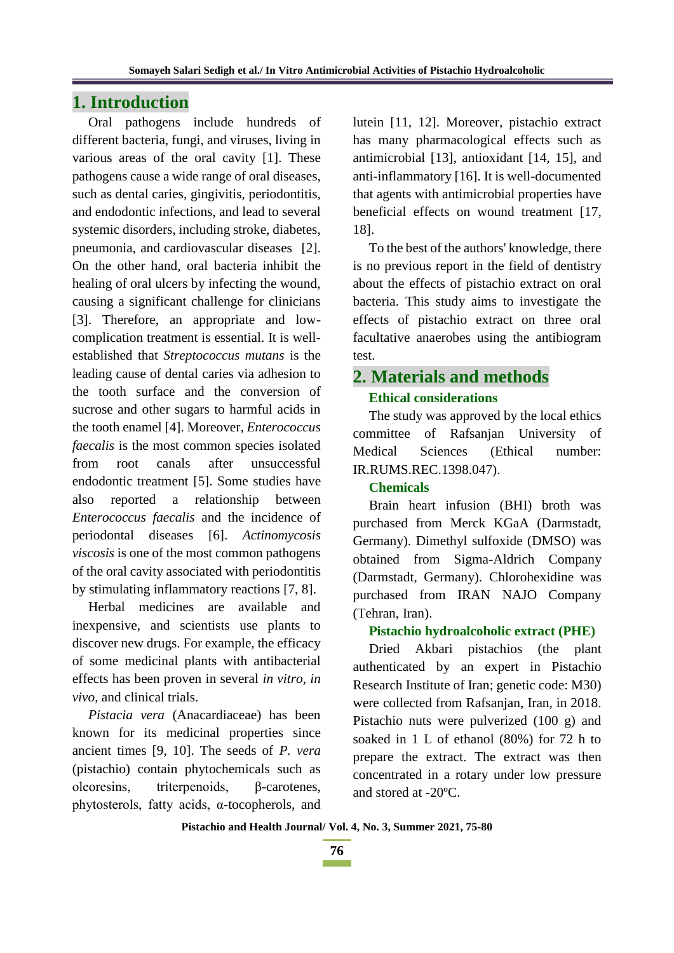## **1. Introduction**

Oral pathogens include hundreds of different bacteria, fungi, and viruses, living in various areas of the oral cavity [1]. These pathogens cause a wide range of oral diseases, such as dental caries, gingivitis, periodontitis, and endodontic infections, and lead to several systemic disorders, including stroke, diabetes, pneumonia, and cardiovascular diseases [2]. On the other hand, oral bacteria inhibit the healing of oral ulcers by infecting the wound, causing a significant challenge for clinicians [3]. Therefore, an appropriate and lowcomplication treatment is essential. It is wellestablished that *Streptococcus mutans* is the leading cause of dental caries via adhesion to the tooth surface and the conversion of sucrose and other sugars to harmful acids in the tooth enamel [4]. Moreover, *Enterococcus faecalis* is the most common species isolated from root canals after unsuccessful endodontic treatment [5]. Some studies have also reported a relationship between *Enterococcus faecalis* and the incidence of periodontal diseases [6]. *Actinomycosis viscosis* is one of the most common pathogens of the oral cavity associated with periodontitis by stimulating inflammatory reactions [7, 8].

Herbal medicines are available and inexpensive, and scientists use plants to discover new drugs. For example, the efficacy of some medicinal plants with antibacterial effects has been proven in several *in vitro*, *in vivo*, and clinical trials.

*Pistacia vera* (Anacardiaceae) has been known for its medicinal properties since ancient times [9, 10]. The seeds of *P. vera*  (pistachio) contain phytochemicals such as oleoresins, triterpenoids, β-carotenes, phytosterols, fatty acids, α-tocopherols, and lutein [11, 12]. Moreover, pistachio extract has many pharmacological effects such as antimicrobial [13], antioxidant [14, 15], and anti-inflammatory [16]. It is well-documented that agents with antimicrobial properties have beneficial effects on wound treatment [17, 18].

To the best of the authors' knowledge, there is no previous report in the field of dentistry about the effects of pistachio extract on oral bacteria. This study aims to investigate the effects of pistachio extract on three oral facultative anaerobes using the antibiogram test.

# **2. Materials and methods**

## **Ethical considerations**

The study was approved by the local ethics committee of Rafsanjan University of Medical Sciences (Ethical number: IR.RUMS.REC.1398.047).

#### **Chemicals**

Brain heart infusion (BHI) broth was purchased from Merck KGaA (Darmstadt, Germany). Dimethyl sulfoxide (DMSO) was obtained from Sigma-Aldrich Company (Darmstadt, Germany). Chlorohexidine was purchased from IRAN NAJO Company (Tehran, Iran).

#### **Pistachio hydroalcoholic extract (PHE)**

Dried Akbari pistachios (the plant authenticated by an expert in Pistachio Research Institute of Iran; genetic code: M30) were collected from Rafsanjan, Iran, in 2018. Pistachio nuts were pulverized (100 g) and soaked in 1 L of ethanol (80%) for 72 h to prepare the extract. The extract was then concentrated in a rotary under low pressure and stored at -20ºC.

**Pistachio and Health Journal/ Vol. 4, No. 3, Summer 2021, 75-80**

**76**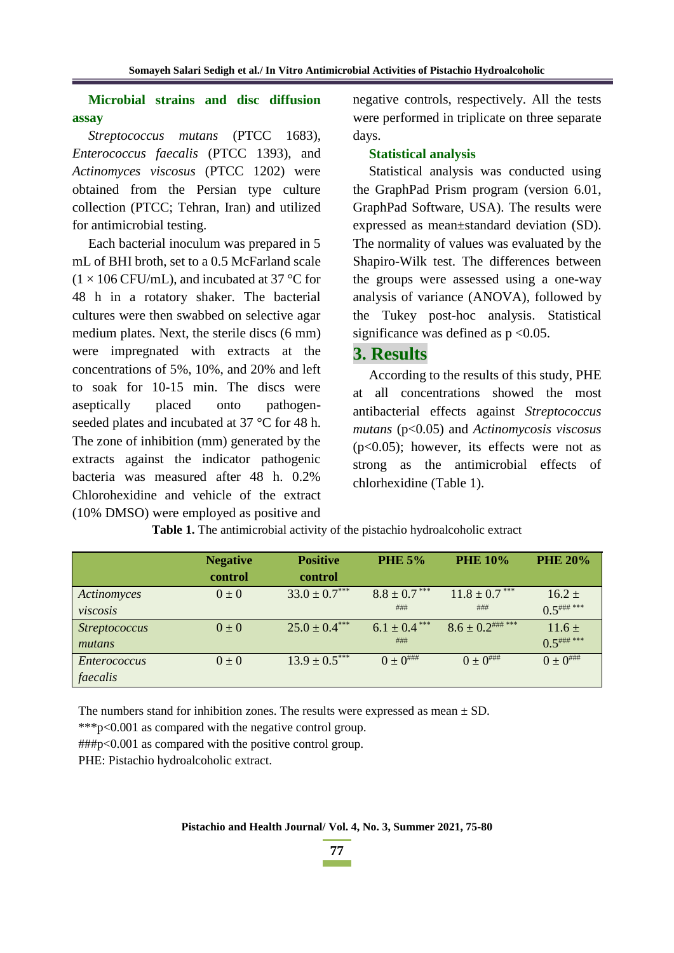**Microbial strains and disc diffusion assay**

*Streptococcus mutans* (PTCC 1683), *Enterococcus faecalis* (PTCC 1393), and *Actinomyces viscosus* (PTCC 1202) were obtained from the Persian type culture collection (PTCC; Tehran, Iran) and utilized for antimicrobial testing.

Each bacterial inoculum was prepared in 5 mL of BHI broth, set to a 0.5 McFarland scale  $(1 \times 106 \text{ CFU/mL})$ , and incubated at 37 °C for 48 h in a rotatory shaker. The bacterial cultures were then swabbed on selective agar medium plates. Next, the sterile discs (6 mm) were impregnated with extracts at the concentrations of 5%, 10%, and 20% and left to soak for 10-15 min. The discs were aseptically placed onto pathogenseeded plates and incubated at 37 °C for 48 h. The zone of inhibition (mm) generated by the extracts against the indicator pathogenic bacteria was measured after 48 h. 0.2% Chlorohexidine and vehicle of the extract (10% DMSO) were employed as positive and negative controls, respectively. All the tests were performed in triplicate on three separate days.

#### **Statistical analysis**

Statistical analysis was conducted using the GraphPad Prism program (version 6.01, GraphPad Software, USA). The results were expressed as mean±standard deviation (SD). The normality of values was evaluated by the Shapiro-Wilk test. The differences between the groups were assessed using a one-way analysis of variance (ANOVA), followed by the Tukey post-hoc analysis. Statistical significance was defined as  $p < 0.05$ .

## **3. Results**

According to the results of this study, PHE at all concentrations showed the most antibacterial effects against *Streptococcus mutans* (p<0.05) and *Actinomycosis viscosus*   $(p<0.05)$ ; however, its effects were not as strong as the antimicrobial effects of chlorhexidine (Table 1).

|                      | <b>Negative</b> | <b>Positive</b>   | <b>PHE 5%</b>     | <b>PHE 10%</b>        | <b>PHE 20%</b>        |
|----------------------|-----------------|-------------------|-------------------|-----------------------|-----------------------|
|                      | control         | control           |                   |                       |                       |
| Actinomyces          | $0\pm 0$        | $33.0 \pm 0.7***$ | $8.8 \pm 0.7$ *** | $11.8 \pm 0.7$ ***    | $16.2 \pm$            |
| viscosis             |                 |                   | ###               | ###                   | $0.5$ ### ***         |
| <b>Streptococcus</b> | $0\pm 0$        | $25.0 \pm 0.4***$ | $6.1 \pm 0.4$ *** | $8.6 \pm 0.2$ ### *** | $11.6 \pm$            |
| mutans               |                 |                   | ###               |                       | $0.5$ ### ***         |
| Enterococcus         | $0 \pm 0$       | $13.9 \pm 0.5***$ | $0 \pm 0^{$       | $0 \pm 0^{$           | $0 \pm 0^{ \# \# \#}$ |
| faecalis             |                 |                   |                   |                       |                       |

**Table 1.** The antimicrobial activity of the pistachio hydroalcoholic extract

The numbers stand for inhibition zones. The results were expressed as mean  $\pm$  SD.

\*\*\*p<0.001 as compared with the negative control group.

###p<0.001 as compared with the positive control group.

PHE: Pistachio hydroalcoholic extract.

**77**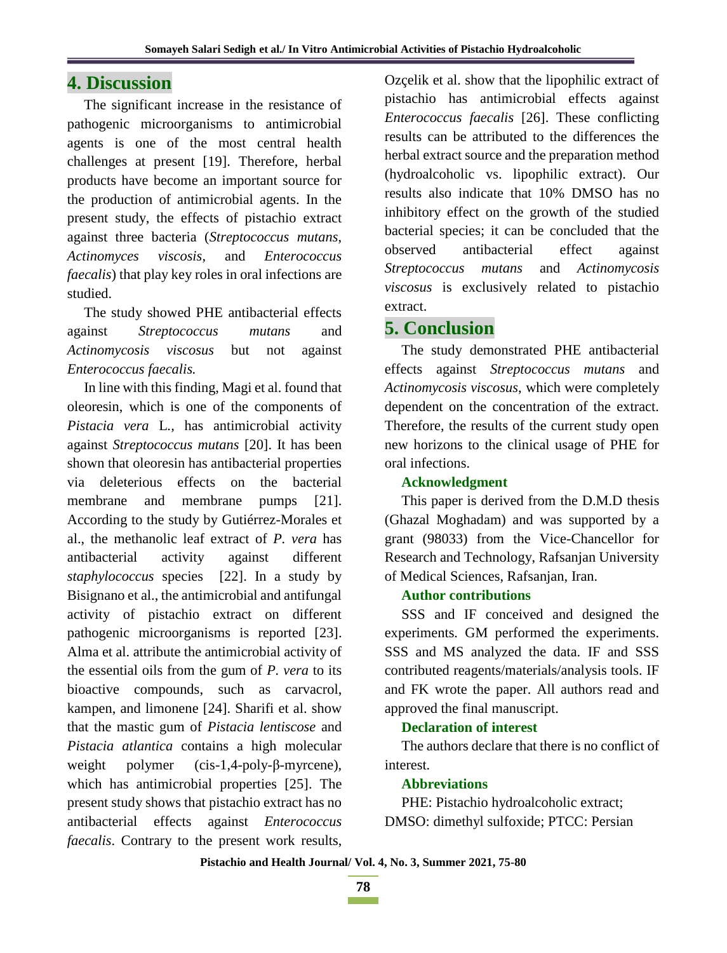## **4. Discussion**

The significant increase in the resistance of pathogenic microorganisms to antimicrobial agents is one of the most central health challenges at present [19]. Therefore, herbal products have become an important source for the production of antimicrobial agents. In the present study, the effects of pistachio extract against three bacteria (*Streptococcus mutans*, *Actinomyces viscosis*, and *Enterococcus faecalis*) that play key roles in oral infections are studied.

The study showed PHE antibacterial effects against *Streptococcus mutans* and *Actinomycosis viscosus* but not against *Enterococcus faecalis.*

In line with this finding, Magi et al. found that oleoresin, which is one of the components of *Pistacia vera* L*.,* has antimicrobial activity against *Streptococcus mutans* [20]. It has been shown that oleoresin has antibacterial properties via deleterious effects on the bacterial membrane and membrane pumps [21]. According to the study by Gutiérrez-Morales et al., the methanolic leaf extract of *P. vera* has antibacterial activity against different *staphylococcus* species [22]. In a study by Bisignano et al., the antimicrobial and antifungal activity of pistachio extract on different pathogenic microorganisms is reported [23]. Alma et al. attribute the antimicrobial activity of the essential oils from the gum of *P. vera* to its bioactive compounds, such as carvacrol, kampen, and limonene [24]. Sharifi et al. show that the mastic gum of *Pistacia lentiscose* and *Pistacia atlantica* contains a high molecular weight polymer (cis-1,4-poly-β-myrcene), which has antimicrobial properties [25]. The present study shows that pistachio extract has no antibacterial effects against *Enterococcus faecalis*. Contrary to the present work results,

Ozçelik et al. show that the lipophilic extract of pistachio has antimicrobial effects against *Enterococcus faecalis* [26]. These conflicting results can be attributed to the differences the herbal extract source and the preparation method (hydroalcoholic vs. lipophilic extract). Our results also indicate that 10% DMSO has no inhibitory effect on the growth of the studied bacterial species; it can be concluded that the observed antibacterial effect against *Streptococcus mutans* and *Actinomycosis viscosus* is exclusively related to pistachio extract.

## **5. Conclusion**

The study demonstrated PHE antibacterial effects against *Streptococcus mutans* and *Actinomycosis viscosus*, which were completely dependent on the concentration of the extract. Therefore, the results of the current study open new horizons to the clinical usage of PHE for oral infections.

## **Acknowledgment**

This paper is derived from the D.M.D thesis (Ghazal Moghadam) and was supported by a grant (98033) from the Vice-Chancellor for Research and Technology, Rafsanjan University of Medical Sciences, Rafsanjan, Iran.

## **Author contributions**

SSS and IF conceived and designed the experiments. GM performed the experiments. SSS and MS analyzed the data. IF and SSS contributed reagents/materials/analysis tools. IF and FK wrote the paper. All authors read and approved the final manuscript.

## **Declaration of interest**

The authors declare that there is no conflict of interest.

## **Abbreviations**

PHE: Pistachio hydroalcoholic extract; DMSO: dimethyl sulfoxide; PTCC: Persian

**Pistachio and Health Journal/ Vol. 4, No. 3, Summer 2021, 75-80**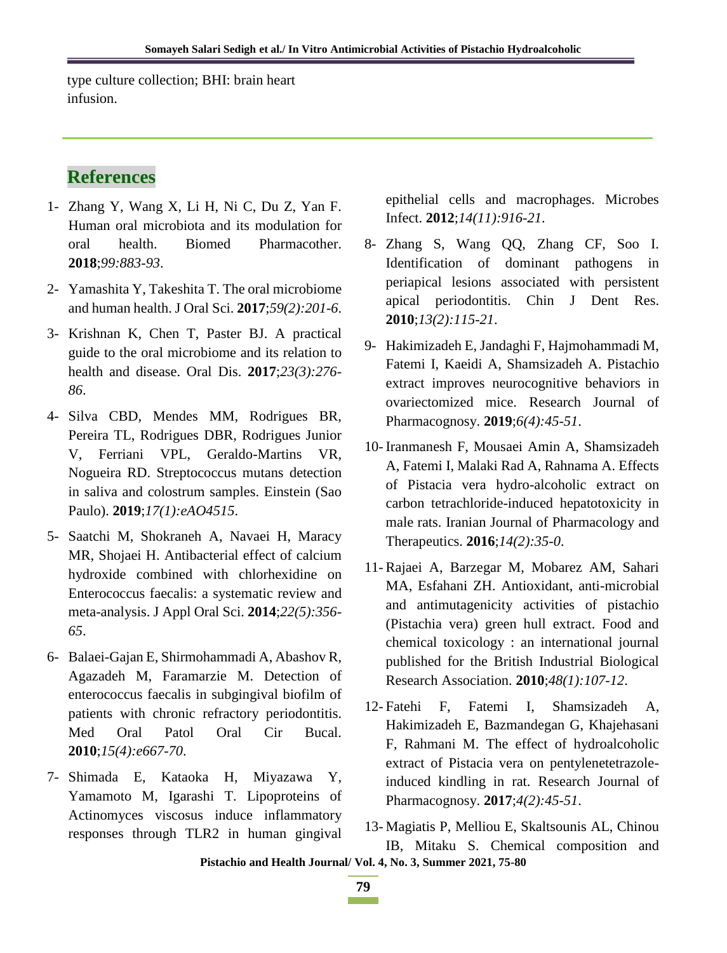type culture collection; BHI: brain heart infusion.

## **References**

- 1- Zhang Y, Wang X, Li H, Ni C, Du Z, Yan F. Human oral microbiota and its modulation for oral health. Biomed Pharmacother. **2018**;*99:883-93*.
- 2- Yamashita Y, Takeshita T. The oral microbiome and human health. J Oral Sci. **2017**;*59(2):201-6*.
- 3- Krishnan K, Chen T, Paster BJ. A practical guide to the oral microbiome and its relation to health and disease. Oral Dis. **2017**;*23(3):276- 86*.
- 4- Silva CBD, Mendes MM, Rodrigues BR, Pereira TL, Rodrigues DBR, Rodrigues Junior V, Ferriani VPL, Geraldo-Martins VR, Nogueira RD. Streptococcus mutans detection in saliva and colostrum samples. Einstein (Sao Paulo). **2019**;*17(1):eAO4515*.
- 5- Saatchi M, Shokraneh A, Navaei H, Maracy MR, Shojaei H. Antibacterial effect of calcium hydroxide combined with chlorhexidine on Enterococcus faecalis: a systematic review and meta-analysis. J Appl Oral Sci. **2014**;*22(5):356- 65*.
- 6- Balaei-Gajan E, Shirmohammadi A, Abashov R, Agazadeh M, Faramarzie M. Detection of enterococcus faecalis in subgingival biofilm of patients with chronic refractory periodontitis. Med Oral Patol Oral Cir Bucal. **2010**;*15(4):e667-70*.
- 7- Shimada E, Kataoka H, Miyazawa Y, Yamamoto M, Igarashi T. Lipoproteins of Actinomyces viscosus induce inflammatory responses through TLR2 in human gingival

epithelial cells and macrophages. Microbes Infect. **2012**;*14(11):916-21*.

- 8- Zhang S, Wang QQ, Zhang CF, Soo I. Identification of dominant pathogens in periapical lesions associated with persistent apical periodontitis. Chin J Dent Res. **2010**;*13(2):115-21*.
- 9- Hakimizadeh E, Jandaghi F, Hajmohammadi M, Fatemi I, Kaeidi A, Shamsizadeh A. Pistachio extract improves neurocognitive behaviors in ovariectomized mice. Research Journal of Pharmacognosy. **2019**;*6(4):45-51*.
- 10- Iranmanesh F, Mousaei Amin A, Shamsizadeh A, Fatemi I, Malaki Rad A, Rahnama A. Effects of Pistacia vera hydro-alcoholic extract on carbon tetrachloride-induced hepatotoxicity in male rats. Iranian Journal of Pharmacology and Therapeutics. **2016**;*14(2):35-0*.
- 11- Rajaei A, Barzegar M, Mobarez AM, Sahari MA, Esfahani ZH. Antioxidant, anti-microbial and antimutagenicity activities of pistachio (Pistachia vera) green hull extract. Food and chemical toxicology : an international journal published for the British Industrial Biological Research Association. **2010**;*48(1):107-12*.
- 12- Fatehi F, Fatemi I, Shamsizadeh A, Hakimizadeh E, Bazmandegan G, Khajehasani F, Rahmani M. The effect of hydroalcoholic extract of Pistacia vera on pentylenetetrazoleinduced kindling in rat. Research Journal of Pharmacognosy. **2017**;*4(2):45-51*.
- 13- Magiatis P, Melliou E, Skaltsounis AL, Chinou IB, Mitaku S. Chemical composition and

**Pistachio and Health Journal/ Vol. 4, No. 3, Summer 2021, 75-80**